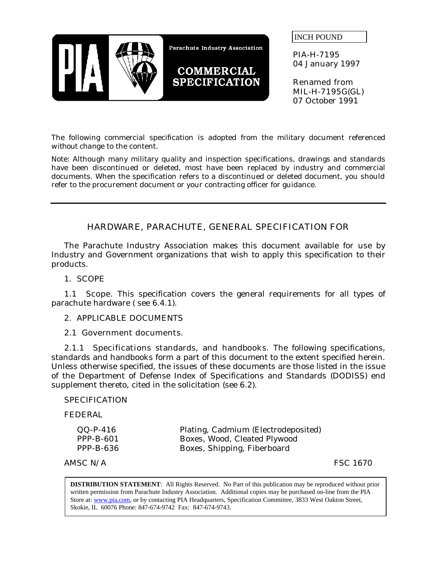

INCH POUND

PIA-H-7195 04 January 1997

Renamed from MIL-H-7195G(GL) 07 October 1991

The following commercial specification is adopted from the military document referenced *without change* to the content.

Note: Although many military quality and inspection specifications, drawings and standards have been discontinued or deleted, most have been replaced by industry and commercial documents. When the specification refers to a discontinued or deleted document, you should refer to the procurement document or your contracting officer for guidance.

# HARDWARE, PARACHUTE, GENERAL SPECIFICATION FOR

The Parachute Industry Association makes this document available for use by Industry and Government organizations that wish to apply this specification to their products.

## 1. SCOPE

1.1 **Scope.** This specification covers the general requirements for all types of parachute hardware ( see 6.4.1).

### 2. APPLICABLE DOCUMENTS

#### 2.1 Government documents.

2.1.1 Specifications standards, and handbooks. The following specifications, standards and handbooks form a part of this document to the extent specified herein. Unless otherwise specified, the issues of these documents are those listed in the issue of the Department of Defense Index of Specifications and Standards (DODISS) end supplement thereto, cited in the solicitation (see 6.2).

#### **SPECIFICATION**

FEDERAL

| $QQ-P-416$       | Plating, Cadmium (Electrodeposited) |
|------------------|-------------------------------------|
| $PPP-B-601$      | Boxes, Wood, Cleated Plywood        |
| <b>PPP-B-636</b> | Boxes, Shipping, Fiberboard         |

 $AMSC N/A$  FSC 1670

**DISTRIBUTION STATEMENT**: All Rights Reserved. No Part of this publication may be reproduced without prior written permission from Parachute Industry Association. Additional copies may be purchased on-line from the PIA Store at: www.pia.com, or by contacting PIA Headquarters, Specification Committee, 3833 West Oakton Street, Skokie, IL 60076 Phone: 847-674-9742 Fax: 847-674-9743.